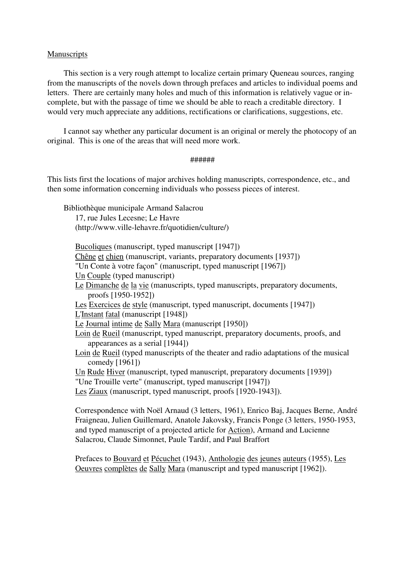## Manuscripts

This section is a very rough attempt to localize certain primary Queneau sources, ranging from the manuscripts of the novels down through prefaces and articles to individual poems and letters. There are certainly many holes and much of this information is relatively vague or incomplete, but with the passage of time we should be able to reach a creditable directory. I would very much appreciate any additions, rectifications or clarifications, suggestions, etc.

I cannot say whether any particular document is an original or merely the photocopy of an original. This is one of the areas that will need more work.

## ######

This lists first the locations of major archives holding manuscripts, correspondence, etc., and then some information concerning individuals who possess pieces of interest.

Bibliothèque municipale Armand Salacrou

17, rue Jules Lecesne; Le Havre

(http://www.ville-lehavre.fr/quotidien/culture/)

Bucoliques (manuscript, typed manuscript [1947]) Chêne et chien (manuscript, variants, preparatory documents [1937]) "Un Conte à votre façon" (manuscript, typed manuscript [1967]) Un Couple (typed manuscript) Le Dimanche de la vie (manuscripts, typed manuscripts, preparatory documents, proofs [1950-1952]) Les Exercices de style (manuscript, typed manuscript, documents [1947]) L'Instant fatal (manuscript [1948]) Le Journal intime de Sally Mara (manuscript [1950]) Loin de Rueil (manuscript, typed manuscript, preparatory documents, proofs, and appearances as a serial [1944]) Loin de Rueil (typed manuscripts of the theater and radio adaptations of the musical comedy [1961]) Un Rude Hiver (manuscript, typed manuscript, preparatory documents [1939]) "Une Trouille verte" (manuscript, typed manuscript [1947]) Les Ziaux (manuscript, typed manuscript, proofs [1920-1943]).

Correspondence with Noël Arnaud (3 letters, 1961), Enrico Baj, Jacques Berne, André Fraigneau, Julien Guillemard, Anatole Jakovsky, Francis Ponge (3 letters, 1950-1953, and typed manuscript of a projected article for Action), Armand and Lucienne Salacrou, Claude Simonnet, Paule Tardif, and Paul Braffort

Prefaces to Bouvard et Pécuchet (1943), Anthologie des jeunes auteurs (1955), Les Oeuvres complètes de Sally Mara (manuscript and typed manuscript [1962]).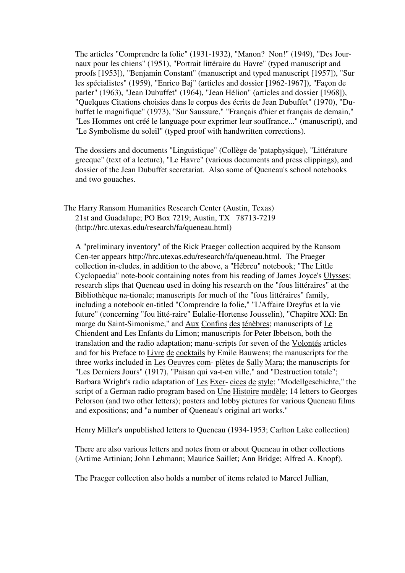The articles "Comprendre la folie" (1931-1932), "Manon? Non!" (1949), "Des Journaux pour les chiens" (1951), "Portrait littéraire du Havre" (typed manuscript and proofs [1953]), "Benjamin Constant" (manuscript and typed manuscript [1957]), "Sur les spécialistes" (1959), "Enrico Baj" (articles and dossier [1962-1967]), "Façon de parler" (1963), "Jean Dubuffet" (1964), "Jean Hélion" (articles and dossier [1968]), "Quelques Citations choisies dans le corpus des écrits de Jean Dubuffet" (1970), "Dubuffet le magnifique" (1973), "Sur Saussure," "Français d'hier et français de demain," "Les Hommes ont créé le language pour exprimer leur souffrance..." (manuscript), and "Le Symbolisme du soleil" (typed proof with handwritten corrections).

The dossiers and documents "Linguistique" (Collège de 'pataphysique), "Littérature grecque" (text of a lecture), "Le Havre" (various documents and press clippings), and dossier of the Jean Dubuffet secretariat. Also some of Queneau's school notebooks and two gouaches.

The Harry Ransom Humanities Research Center (Austin, Texas) 21st and Guadalupe; PO Box 7219; Austin, TX 78713-7219 (http://hrc.utexas.edu/research/fa/queneau.html)

A "preliminary inventory" of the Rick Praeger collection acquired by the Ransom Cen-ter appears http://hrc.utexas.edu/research/fa/queneau.html. The Praeger collection in-cludes, in addition to the above, a "Hébreu" notebook; "The Little Cyclopaedia" note-book containing notes from his reading of James Joyce's Ulysses; research slips that Queneau used in doing his research on the "fous littéraires" at the Bibliothèque na-tionale; manuscripts for much of the "fous littéraires" family, including a notebook en-titled "Comprendre la folie," "L'Affaire Dreyfus et la vie future" (concerning "fou litté-raire" Eulalie-Hortense Jousselin), "Chapitre XXI: En marge du Saint-Simonisme," and Aux Confins des ténèbres; manuscripts of Le Chiendent and Les Enfants du Limon; manuscripts for Peter Ibbetson, both the translation and the radio adaptation; manu-scripts for seven of the Volontés articles and for his Preface to Livre de cocktails by Emile Bauwens; the manuscripts for the three works included in Les Oeuvres com- plètes de Sally Mara; the manuscripts for "Les Derniers Jours" (1917), "Paisan qui va-t-en ville," and "Destruction totale"; Barbara Wright's radio adaptation of Les Exer- cices de style; "Modellgeschichte," the script of a German radio program based on Une Histoire modèle; 14 letters to Georges Pelorson (and two other letters); posters and lobby pictures for various Queneau films and expositions; and "a number of Queneau's original art works."

Henry Miller's unpublished letters to Queneau (1934-1953; Carlton Lake collection)

There are also various letters and notes from or about Queneau in other collections (Artime Artinian; John Lehmann; Maurice Saillet; Ann Bridge; Alfred A. Knopf).

The Praeger collection also holds a number of items related to Marcel Jullian,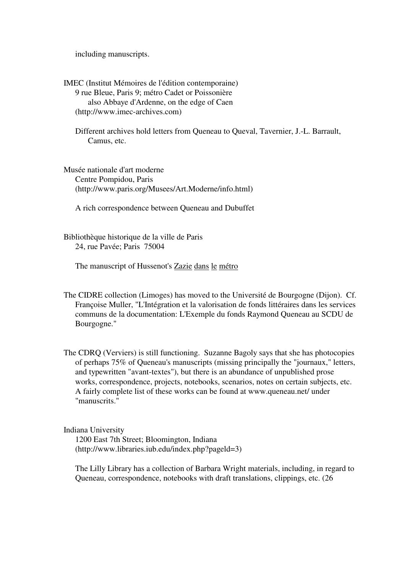including manuscripts.

IMEC (Institut Mémoires de l'édition contemporaine) 9 rue Bleue, Paris 9; métro Cadet or Poissonière also Abbaye d'Ardenne, on the edge of Caen (http://www.imec-archives.com)

Different archives hold letters from Queneau to Queval, Tavernier, J.-L. Barrault, Camus, etc.

Musée nationale d'art moderne Centre Pompidou, Paris (http://www.paris.org/Musees/Art.Moderne/info.html)

A rich correspondence between Queneau and Dubuffet

Bibliothèque historique de la ville de Paris 24, rue Pavée; Paris 75004

The manuscript of Hussenot's Zazie dans le métro

The CIDRE collection (Limoges) has moved to the Université de Bourgogne (Dijon). Cf. Françoise Muller, "L'Intégration et la valorisation de fonds littéraires dans les services communs de la documentation: L'Exemple du fonds Raymond Queneau au SCDU de Bourgogne."

The CDRQ (Verviers) is still functioning. Suzanne Bagoly says that she has photocopies of perhaps 75% of Queneau's manuscripts (missing principally the "journaux," letters, and typewritten "avant-textes"), but there is an abundance of unpublished prose works, correspondence, projects, notebooks, scenarios, notes on certain subjects, etc. A fairly complete list of these works can be found at www.queneau.net/ under "manuscrits."

Indiana University

1200 East 7th Street; Bloomington, Indiana (http://www.libraries.iub.edu/index.php?pageld=3)

The Lilly Library has a collection of Barbara Wright materials, including, in regard to Queneau, correspondence, notebooks with draft translations, clippings, etc. (26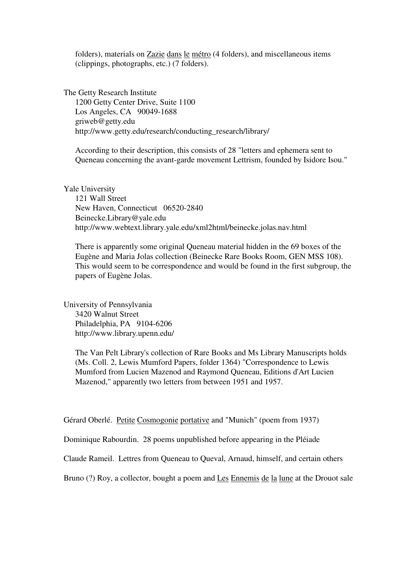folders), materials on Zazie dans le métro (4 folders), and miscellaneous items (clippings, photographs, etc.) (7 folders).

The Getty Research Institute 1200 Getty Center Drive, Suite 1100 Los Angeles, CA 90049-1688 griweb@getty.edu http://www.getty.edu/research/conducting\_research/library/

According to their description, this consists of 28 "letters and ephemera sent to Queneau concerning the avant-garde movement Lettrism, founded by Isidore Isou."

Yale University

121 Wall Street New Haven, Connecticut 06520-2840 Beinecke.Library@yale.edu http://www.webtext.library.yale.edu/xml2html/beinecke.jolas.nav.html

There is apparently some original Queneau material hidden in the 69 boxes of the Eugène and Maria Jolas collection (Beinecke Rare Books Room, GEN MSS 108). This would seem to be correspondence and would be found in the first subgroup, the papers of Eugène Jolas.

University of Pennsylvania 3420 Walnut Street Philadelphia, PA 9104-6206 http://www.library.upenn.edu/

> The Van Pelt Library's collection of Rare Books and Ms Library Manuscripts holds (Ms. Coll. 2, Lewis Mumford Papers, folder 1364) "Correspondence to Lewis Mumford from Lucien Mazenod and Raymond Queneau, Editions d'Art Lucien Mazenod," apparently two letters from between 1951 and 1957.

Gérard Oberlé. Petite Cosmogonie portative and "Munich" (poem from 1937)

Dominique Rabourdin. 28 poems unpublished before appearing in the Pléiade

Claude Rameil. Lettres from Queneau to Queval, Arnaud, himself, and certain others

Bruno (?) Roy, a collector, bought a poem and Les Ennemis de la lune at the Drouot sale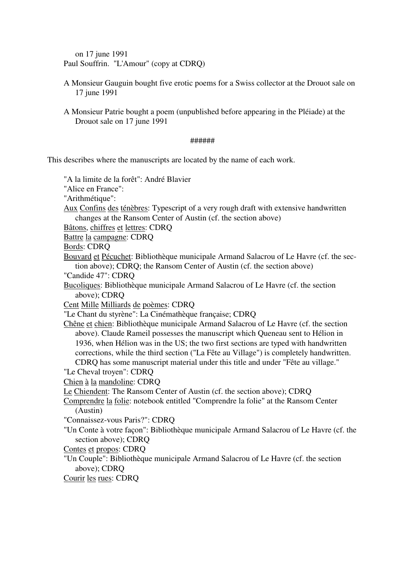on 17 june 1991 Paul Souffrin. "L'Amour" (copy at CDRQ)

- A Monsieur Gauguin bought five erotic poems for a Swiss collector at the Drouot sale on 17 june 1991
- A Monsieur Patrie bought a poem (unpublished before appearing in the Pléiade) at the Drouot sale on 17 june 1991

## ######

This describes where the manuscripts are located by the name of each work.

- "A la limite de la forêt": André Blavier
- "Alice en France":
- "Arithmétique":
- Aux Confins des ténèbres: Typescript of a very rough draft with extensive handwritten changes at the Ransom Center of Austin (cf. the section above)
- Bâtons, chiffres et lettres: CDRQ
- Battre la campagne: CDRQ
- Bords: CDRQ
- Bouvard et Pécuchet: Bibliothèque municipale Armand Salacrou of Le Havre (cf. the section above); CDRQ; the Ransom Center of Austin (cf. the section above)
- "Candide 47": CDRQ
- Bucoliques: Bibliothèque municipale Armand Salacrou of Le Havre (cf. the section above); CDRQ
- Cent Mille Milliards de poèmes: CDRQ
- "Le Chant du styrène": La Cinémathèque française; CDRQ
- Chêne et chien: Bibliothèque municipale Armand Salacrou of Le Havre (cf. the section above). Claude Rameil possesses the manuscript which Queneau sent to Hélion in 1936, when Hélion was in the US; the two first sections are typed with handwritten corrections, while the third section ("La Fête au Village") is completely handwritten. CDRQ has some manuscript material under this title and under "Fête au village."
- "Le Cheval troyen": CDRQ
- Chien à la mandoline: CDRQ
- Le Chiendent: The Ransom Center of Austin (cf. the section above); CDRQ
- Comprendre la folie: notebook entitled "Comprendre la folie" at the Ransom Center (Austin)
- "Connaissez-vous Paris?": CDRQ
- "Un Conte à votre façon": Bibliothèque municipale Armand Salacrou of Le Havre (cf. the section above); CDRQ
- Contes et propos: CDRQ
- "Un Couple": Bibliothèque municipale Armand Salacrou of Le Havre (cf. the section above); CDRQ
- Courir les rues: CDRQ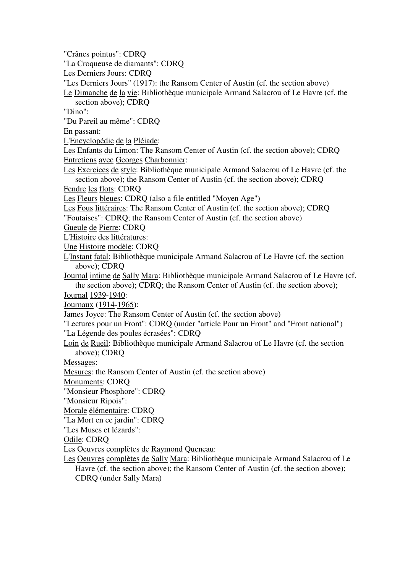"Crânes pointus": CDRQ "La Croqueuse de diamants": CDRQ Les Derniers Jours: CDRQ "Les Derniers Jours" (1917): the Ransom Center of Austin (cf. the section above) Le Dimanche de la vie: Bibliothèque municipale Armand Salacrou of Le Havre (cf. the section above); CDRQ "Dino": "Du Pareil au même": CDRQ En passant: L'Encyclopédie de la Pléiade: Les Enfants du Limon: The Ransom Center of Austin (cf. the section above); CDRQ Entretiens avec Georges Charbonnier: Les Exercices de style: Bibliothèque municipale Armand Salacrou of Le Havre (cf. the section above); the Ransom Center of Austin (cf. the section above); CDRQ Fendre les flots: CDRQ Les Fleurs bleues: CDRQ (also a file entitled "Moyen Age") Les Fous littéraires: The Ransom Center of Austin (cf. the section above); CDRQ "Foutaises": CDRQ; the Ransom Center of Austin (cf. the section above) Gueule de Pierre: CDRQ L'Histoire des littératures: Une Histoire modèle: CDRQ L'Instant fatal: Bibliothèque municipale Armand Salacrou of Le Havre (cf. the section above); CDRQ Journal intime de Sally Mara: Bibliothèque municipale Armand Salacrou of Le Havre (cf. the section above); CDRQ; the Ransom Center of Austin (cf. the section above); Journal 1939-1940: Journaux (1914-1965): James Joyce: The Ransom Center of Austin (cf. the section above) "Lectures pour un Front": CDRQ (under "article Pour un Front" and "Front national") "La Légende des poules écrasées": CDRQ Loin de Rueil: Bibliothèque municipale Armand Salacrou of Le Havre (cf. the section above); CDRQ Messages: Mesures: the Ransom Center of Austin (cf. the section above) Monuments: CDRQ "Monsieur Phosphore": CDRQ "Monsieur Ripois": Morale élémentaire: CDRQ "La Mort en ce jardin": CDRQ "Les Muses et lézards": Odile: CDRQ Les Oeuvres complètes de Raymond Queneau: Les Oeuvres complètes de Sally Mara: Bibliothèque municipale Armand Salacrou of Le Havre (cf. the section above); the Ransom Center of Austin (cf. the section above); CDRQ (under Sally Mara)